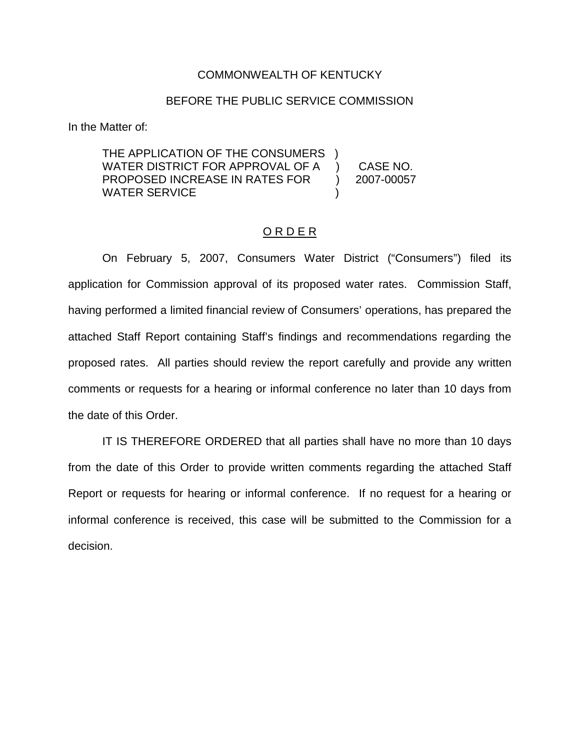## COMMONWEALTH OF KENTUCKY

## BEFORE THE PUBLIC SERVICE COMMISSION

In the Matter of:

| THE APPLICATION OF THE CONSUMERS |            |
|----------------------------------|------------|
| WATER DISTRICT FOR APPROVAL OF A | CASE NO.   |
| PROPOSED INCREASE IN RATES FOR   | 2007-00057 |
| WATER SERVICE                    |            |

#### O R D E R

On February 5, 2007, Consumers Water District ("Consumers") filed its application for Commission approval of its proposed water rates. Commission Staff, having performed a limited financial review of Consumers' operations, has prepared the attached Staff Report containing Staff's findings and recommendations regarding the proposed rates. All parties should review the report carefully and provide any written comments or requests for a hearing or informal conference no later than 10 days from the date of this Order.

IT IS THEREFORE ORDERED that all parties shall have no more than 10 days from the date of this Order to provide written comments regarding the attached Staff Report or requests for hearing or informal conference. If no request for a hearing or informal conference is received, this case will be submitted to the Commission for a decision.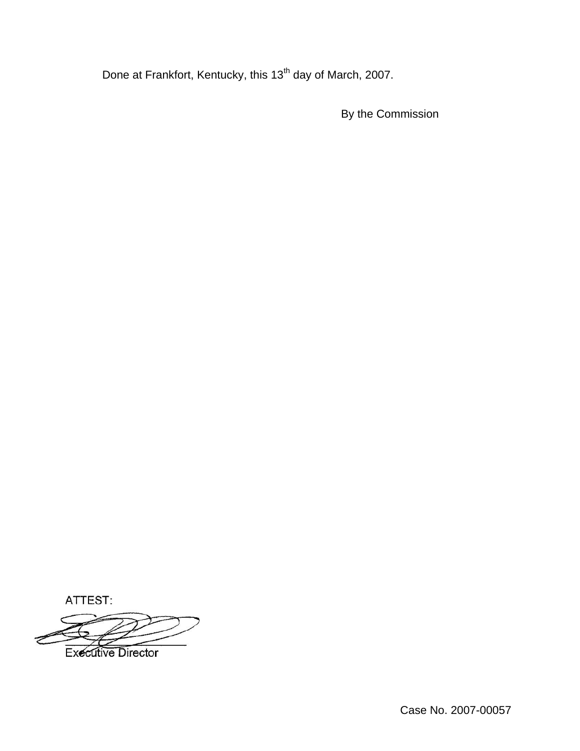Done at Frankfort, Kentucky, this 13<sup>th</sup> day of March, 2007.

By the Commission

ATTEST:

**Executive Director**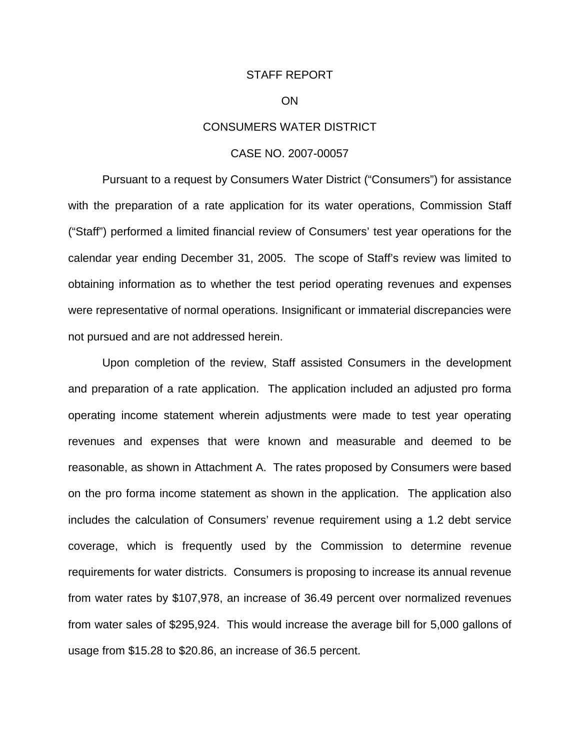#### STAFF REPORT

#### ON

## CONSUMERS WATER DISTRICT

#### CASE NO. 2007-00057

Pursuant to a request by Consumers Water District ("Consumers") for assistance with the preparation of a rate application for its water operations, Commission Staff ("Staff") performed a limited financial review of Consumers' test year operations for the calendar year ending December 31, 2005. The scope of Staff's review was limited to obtaining information as to whether the test period operating revenues and expenses were representative of normal operations. Insignificant or immaterial discrepancies were not pursued and are not addressed herein.

Upon completion of the review, Staff assisted Consumers in the development and preparation of a rate application. The application included an adjusted pro forma operating income statement wherein adjustments were made to test year operating revenues and expenses that were known and measurable and deemed to be reasonable, as shown in Attachment A. The rates proposed by Consumers were based on the pro forma income statement as shown in the application. The application also includes the calculation of Consumers' revenue requirement using a 1.2 debt service coverage, which is frequently used by the Commission to determine revenue requirements for water districts. Consumers is proposing to increase its annual revenue from water rates by \$107,978, an increase of 36.49 percent over normalized revenues from water sales of \$295,924. This would increase the average bill for 5,000 gallons of usage from \$15.28 to \$20.86, an increase of 36.5 percent.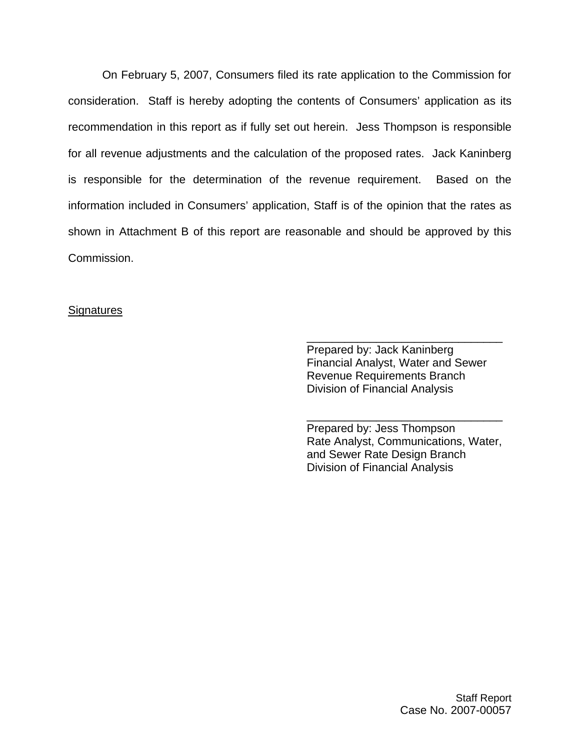On February 5, 2007, Consumers filed its rate application to the Commission for consideration. Staff is hereby adopting the contents of Consumers' application as its recommendation in this report as if fully set out herein. Jess Thompson is responsible for all revenue adjustments and the calculation of the proposed rates. Jack Kaninberg is responsible for the determination of the revenue requirement. Based on the information included in Consumers' application, Staff is of the opinion that the rates as shown in Attachment B of this report are reasonable and should be approved by this Commission.

# **Signatures**

Prepared by: Jack Kaninberg Financial Analyst, Water and Sewer Revenue Requirements Branch Division of Financial Analysis

\_\_\_\_\_\_\_\_\_\_\_\_\_\_\_\_\_\_\_\_\_\_\_\_\_\_\_\_\_\_\_

Prepared by: Jess Thompson Rate Analyst, Communications, Water, and Sewer Rate Design Branch Division of Financial Analysis

\_\_\_\_\_\_\_\_\_\_\_\_\_\_\_\_\_\_\_\_\_\_\_\_\_\_\_\_\_\_\_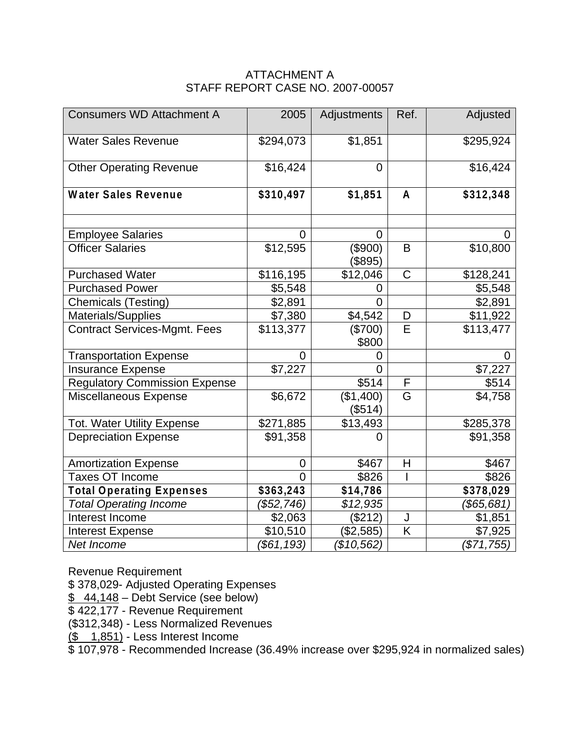# ATTACHMENT A STAFF REPORT CASE NO. 2007-00057

| <b>Consumers WD Attachment A</b>     | 2005           | Adjustments          | Ref.                    | Adjusted              |
|--------------------------------------|----------------|----------------------|-------------------------|-----------------------|
| <b>Water Sales Revenue</b>           | \$294,073      | \$1,851              |                         | \$295,924             |
| <b>Other Operating Revenue</b>       | \$16,424       | 0                    |                         | \$16,424              |
| <b>Water Sales Revenue</b>           | \$310,497      | \$1,851              | $\mathsf{A}$            | \$312,348             |
| <b>Employee Salaries</b>             | 0              | $\overline{0}$       |                         |                       |
| <b>Officer Salaries</b>              | \$12,595       | (\$900)<br>(\$895)   | B                       | \$10,800              |
| <b>Purchased Water</b>               | \$116,195      | \$12,046             | $\mathsf C$             | \$128,241             |
| <b>Purchased Power</b>               | \$5,548        | 0                    |                         | \$5,548               |
| <b>Chemicals (Testing)</b>           | \$2,891        | $\overline{0}$       |                         | \$2,891               |
| Materials/Supplies                   | \$7,380        | \$4,542              | D                       | \$11,922              |
| Contract Services-Mgmt. Fees         | \$113,377      | (\$700)<br>\$800     | E                       | \$113,477             |
| <b>Transportation Expense</b>        | $\overline{0}$ | 0                    |                         | 0                     |
| <b>Insurance Expense</b>             | \$7,227        | $\Omega$             |                         | \$7,227               |
| <b>Regulatory Commission Expense</b> |                | \$514                | F                       | \$514                 |
| Miscellaneous Expense                | \$6,672        | (\$1,400)<br>(\$514) | G                       | \$4,758               |
| <b>Tot. Water Utility Expense</b>    | \$271,885      | \$13,493             |                         | \$285,378             |
| <b>Depreciation Expense</b>          | \$91,358       | 0                    |                         | \$91,358              |
| <b>Amortization Expense</b>          | 0              | \$467                | Η                       | \$467                 |
| <b>Taxes OT Income</b>               | $\overline{0}$ | \$826                |                         | \$826                 |
| <b>Total Operating Expenses</b>      | \$363,243      | \$14,786             |                         | $\overline{$}378,029$ |
| <b>Total Operating Income</b>        | (\$52,746)     | \$12,935             |                         | (\$65,681)            |
| Interest Income                      | \$2,063        | (\$212)              | J                       | \$1,851               |
| <b>Interest Expense</b>              | \$10,510       | (\$2,585)            | $\overline{\mathsf{K}}$ | \$7,925               |
| Net Income                           | (\$61,193)     | (\$10,562)           |                         | (\$71,755)            |

Revenue Requirement

\$ 378,029- Adjusted Operating Expenses

 $\frac{$44,148}$  – Debt Service (see below)

\$422,177 - Revenue Requirement

(\$312,348) - Less Normalized Revenues

 $($ \$ 1,851) - Less Interest Income

 $\frac{12}{3}$  107,978 - Recommended Increase (36.49% increase over \$295,924 in normalized sales)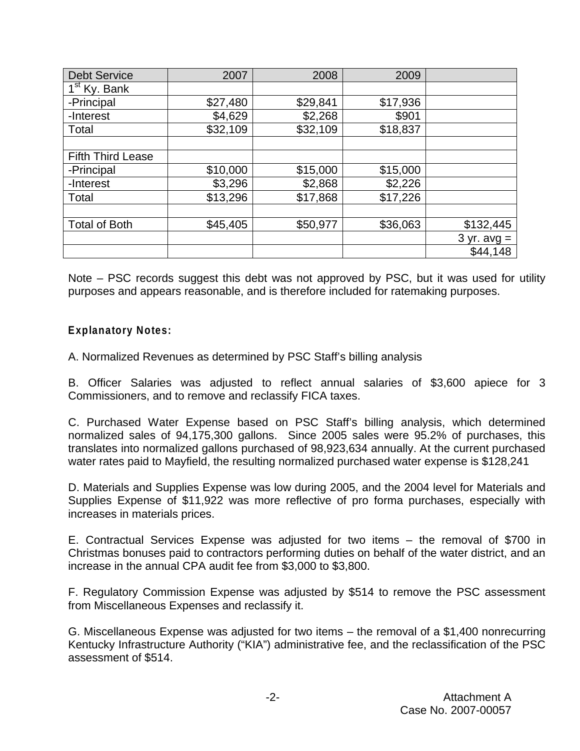| <b>Debt Service</b>      | 2007     | 2008     | 2009     |               |
|--------------------------|----------|----------|----------|---------------|
| 1 <sup>st</sup> Ky. Bank |          |          |          |               |
| -Principal               | \$27,480 | \$29,841 | \$17,936 |               |
| -Interest                | \$4,629  | \$2,268  | \$901    |               |
| Total                    | \$32,109 | \$32,109 | \$18,837 |               |
|                          |          |          |          |               |
| <b>Fifth Third Lease</b> |          |          |          |               |
| -Principal               | \$10,000 | \$15,000 | \$15,000 |               |
| -Interest                | \$3,296  | \$2,868  | \$2,226  |               |
| Total                    | \$13,296 | \$17,868 | \$17,226 |               |
|                          |          |          |          |               |
| <b>Total of Both</b>     | \$45,405 | \$50,977 | \$36,063 | \$132,445     |
|                          |          |          |          | $3 yr. avg =$ |
|                          |          |          |          | \$44,148      |

Note – PSC records suggest this debt was not approved by PSC, but it was used for utility purposes and appears reasonable, and is therefore included for ratemaking purposes.

# **Explanatory Notes:**

A. Normalized Revenues as determined by PSC Staff's billing analysis

B. Officer Salaries was adjusted to reflect annual salaries of \$3,600 apiece for 3 Commissioners, and to remove and reclassify FICA taxes.

C. Purchased Water Expense based on PSC Staff's billing analysis, which determined normalized sales of 94,175,300 gallons. Since 2005 sales were 95.2% of purchases, this translates into normalized gallons purchased of 98,923,634 annually. At the current purchased water rates paid to Mayfield, the resulting normalized purchased water expense is \$128,241

D. Materials and Supplies Expense was low during 2005, and the 2004 level for Materials and Supplies Expense of \$11,922 was more reflective of pro forma purchases, especially with increases in materials prices.

E. Contractual Services Expense was adjusted for two items – the removal of \$700 in Christmas bonuses paid to contractors performing duties on behalf of the water district, and an increase in the annual CPA audit fee from \$3,000 to \$3,800.

F. Regulatory Commission Expense was adjusted by \$514 to remove the PSC assessment from Miscellaneous Expenses and reclassify it.

G. Miscellaneous Expense was adjusted for two items – the removal of a \$1,400 nonrecurring Kentucky Infrastructure Authority ("KIA") administrative fee, and the reclassification of the PSC assessment of \$514.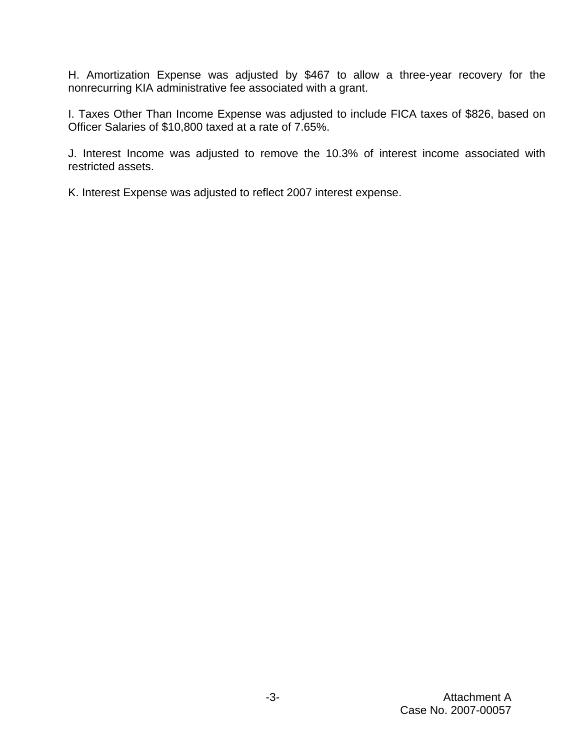H. Amortization Expense was adjusted by \$467 to allow a three-year recovery for the nonrecurring KIA administrative fee associated with a grant.

I. Taxes Other Than Income Expense was adjusted to include FICA taxes of \$826, based on Officer Salaries of \$10,800 taxed at a rate of 7.65%.

J. Interest Income was adjusted to remove the 10.3% of interest income associated with restricted assets.

K. Interest Expense was adjusted to reflect 2007 interest expense.